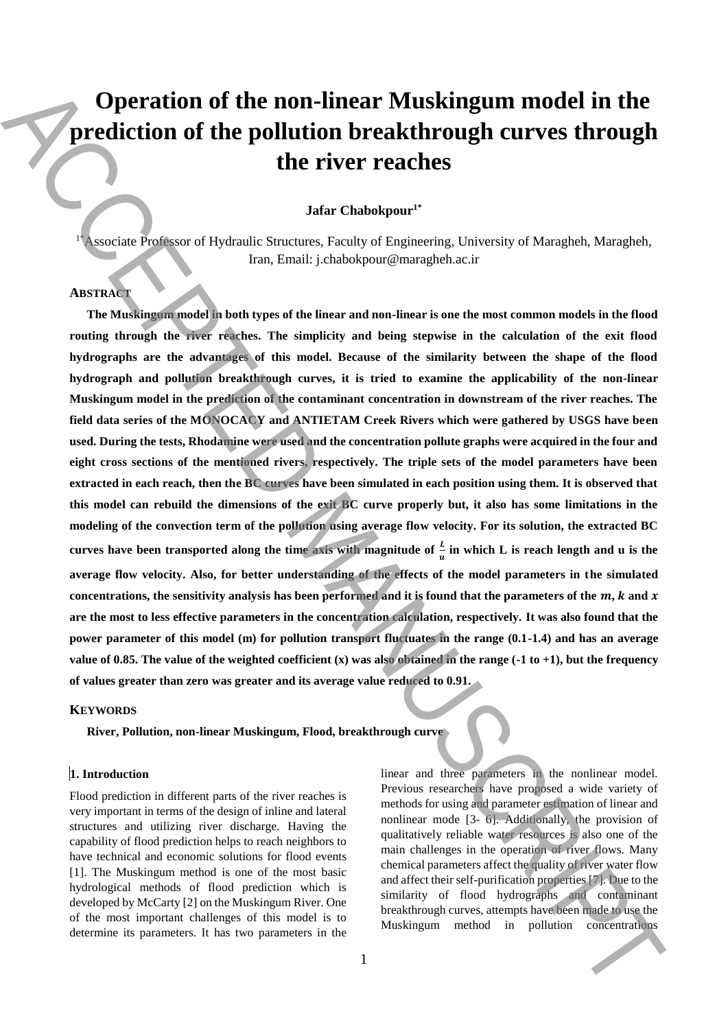# **Operation of the non-linear Muskingum model in the prediction of the pollution breakthrough curves through the river reaches**

## **Jafar Chabokpour1\***

<sup>1\*</sup>Associate Professor of Hydraulic Structures, Faculty of Engineering, University of Maragheh, Maragheh, Iran, Email: j.chabokpour@maragheh.ac.ir

# **ABSTRACT**

**The Muskingum model in both types of the linear and non-linear is one the most common models in the flood routing through the river reaches. The simplicity and being stepwise in the calculation of the exit flood hydrographs are the advantages of this model. Because of the similarity between the shape of the flood hydrograph and pollution breakthrough curves, it is tried to examine the applicability of the non-linear Muskingum model in the prediction of the contaminant concentration in downstream of the river reaches. The field data series of the MONOCACY and ANTIETAM Creek Rivers which were gathered by USGS have been used. During the tests, Rhodamine were used and the concentration pollute graphs were acquired in the four and eight cross sections of the mentioned rivers, respectively. The triple sets of the model parameters have been extracted in each reach, then the BC curves have been simulated in each position using them. It is observed that this model can rebuild the dimensions of the exit BC curve properly but, it also has some limitations in the modeling of the convection term of the pollution using average flow velocity. For its solution, the extracted BC**  curves have been transported along the time axis with magnitude of  $\frac{L}{u}$  in which L is reach length and u is the **average flow velocity. Also, for better understanding of the effects of the model parameters in the simulated**  concentrations, the sensitivity analysis has been performed and it is found that the parameters of the  $m$ ,  $k$  and  $x$ **are the most to less effective parameters in the concentration calculation, respectively. It was also found that the power parameter of this model (m) for pollution transport fluctuates in the range (0.1-1.4) and has an average value of 0.85. The value of the weighted coefficient (x) was also obtained in the range (-1 to +1), but the frequency of values greater than zero was greater and its average value reduced to 0.91. Concentringum method in the non-linear Muskingum model in the prediction of the pollution concentrations Accepted ACCEPTE (and the method in the prediction concentration concentrations and the concentrations ACCEPTE (and** 

#### **KEYWORDS**

**River, Pollution, non-linear Muskingum, Flood, breakthrough curve**

## **1. Introduction**

Flood prediction in different parts of the river reaches is very important in terms of the design of inline and lateral structures and utilizing river discharge. Having the capability of flood prediction helps to reach neighbors to have technical and economic solutions for flood events [1]. The Muskingum method is one of the most basic hydrological methods of flood prediction which is developed by McCarty [2] on the Muskingum River. One of the most important challenges of this model is to determine its parameters. It has two parameters in the

linear and three parameters in the nonlinear model. Previous researchers have proposed a wide variety of methods for using and parameter estimation of linear and nonlinear mode [3- 6]. Additionally, the provision of qualitatively reliable water resources is also one of the main challenges in the operation of river flows. Many chemical parameters affect the quality of river water flow and affect their self-purification properties [7]. Due to the similarity of flood hydrographs and contaminant breakthrough curves, attempts have been made to use the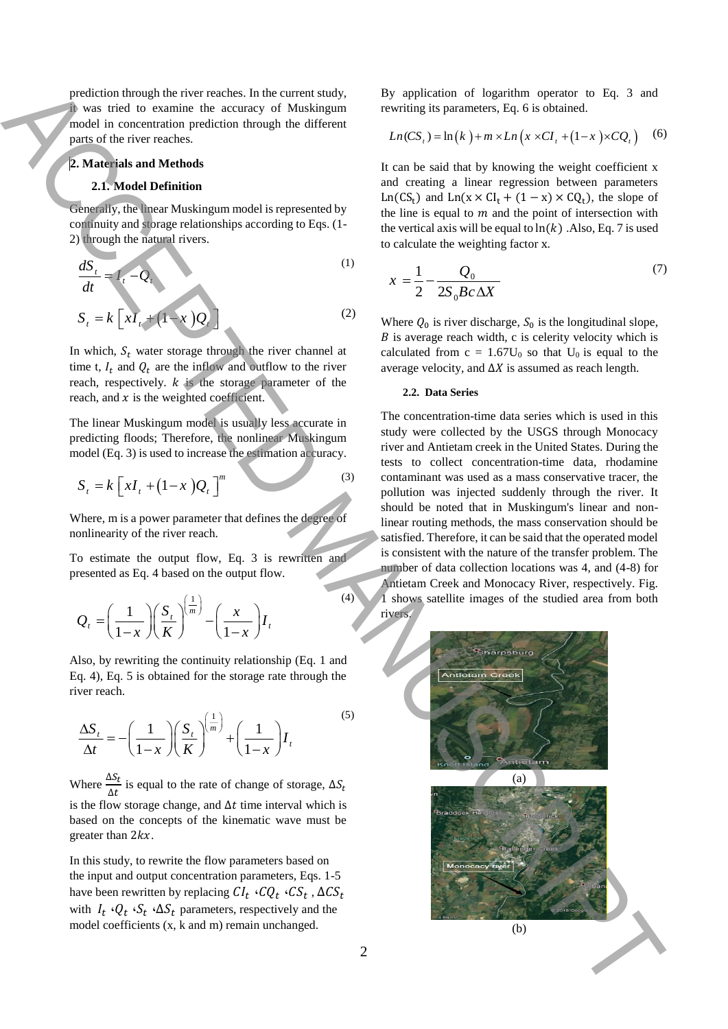prediction through the river reaches. In the current study, it was tried to examine the accuracy of Muskingum model in concentration prediction through the different parts of the river reaches.

#### **2. Materials and Methods**

#### **2.1. Model Definition**

Generally, the linear Muskingum model is represented by continuity and storage relationships according to Eqs. (1- 2) through the natural rivers.

$$
\frac{dS_t}{dt} = I_t - Q_t
$$
\n
$$
S_t = k \left[ xI_t + (1 - x)Q_t \right]
$$
\n(1)

In which,  $S_t$  water storage through the river channel at time t,  $I_t$  and  $Q_t$  are the inflow and outflow to the river reach, respectively.  $k$  is the storage parameter of the reach, and  $x$  is the weighted coefficient.

The linear Muskingum model is usually less accurate in predicting floods; Therefore, the nonlinear Muskingum model (Eq. 3) is used to increase the estimation accuracy.

$$
S_t = k \left[ xI_t + (1-x)Q_t \right]^m \tag{3}
$$

Where, m is a power parameter that defines the degree of nonlinearity of the river reach.

To estimate the output flow, Eq. 3 is rewritten and presented as Eq. 4 based on the output flow.

$$
Q_t = \left(\frac{1}{1-x}\right) \left(\frac{S_t}{K}\right)^{\left(\frac{1}{m}\right)} - \left(\frac{x}{1-x}\right)I_t
$$

Also, by rewriting the continuity relationship (Eq. 1 and Eq. 4), Eq. 5 is obtained for the storage rate through the river reach.

$$
\frac{\Delta S_t}{\Delta t} = -\left(\frac{1}{1-x}\right) \left(\frac{S_t}{K}\right)^{\left(\frac{1}{m}\right)} + \left(\frac{1}{1-x}\right) I_t
$$
\n<sup>(5)</sup>

Where  $\frac{\Delta S_t}{\Delta t}$  $\frac{\partial C_t}{\partial t}$  is equal to the rate of change of storage,  $\Delta S_t$ is the flow storage change, and  $\Delta t$  time interval which is based on the concepts of the kinematic wave must be greater than  $2kx$ .

In this study, to rewrite the flow parameters based on the input and output concentration parameters, Eqs. 1-5 have been rewritten by replacing  $\mathit{CI}_t \cdot \mathit{CQ}_t \cdot \mathit{CS}_t$  ,  $\Delta \mathit{CS}_t$ with  $I_t \cdot Q_t \cdot S_t \cdot \Delta S_t$  parameters, respectively and the model coefficients (x, k and m) remain unchanged.

By application of logarithm operator to Eq. 3 and rewriting its parameters, Eq. 6 is obtained.

$$
Ln(CSt) = ln(k) + m \times Ln(x \times CIt + (1 - x) \times CQt)
$$
 (6)

It can be said that by knowing the weight coefficient x and creating a linear regression between parameters Ln(CS<sub>t</sub>) and Ln(x × CI<sub>t</sub> + (1 – x) × CQ<sub>t</sub>), the slope of the line is equal to  $m$  and the point of intersection with the vertical axis will be equal to  $ln(k)$ . Also, Eq. 7 is used to calculate the weighting factor x.

$$
x = \frac{1}{2} - \frac{Q_0}{2S_0 B c \Delta X} \tag{7}
$$

Where  $Q_0$  is river discharge,  $S_0$  is the longitudinal slope,  $B$  is average reach width, c is celerity velocity which is calculated from  $c = 1.67U_0$  so that  $U_0$  is equal to the average velocity, and  $\Delta X$  is assumed as reach length.

#### **2.2. Data Series**

The concentration-time data series which is used in this study were collected by the USGS through Monocacy river and Antietam creek in the United States. During the tests to collect concentration-time data, rhodamine contaminant was used as a mass conservative tracer, the pollution was injected suddenly through the river. It should be noted that in Muskingum's linear and nonlinear routing methods, the mass conservation should be satisfied. Therefore, it can be said that the operated model is consistent with the nature of the transfer problem. The number of data collection locations was 4, and (4-8) for Antietam Creek and Monocacy River, respectively. Fig. 1 shows satellite images of the studied area from both rivers.



(4)